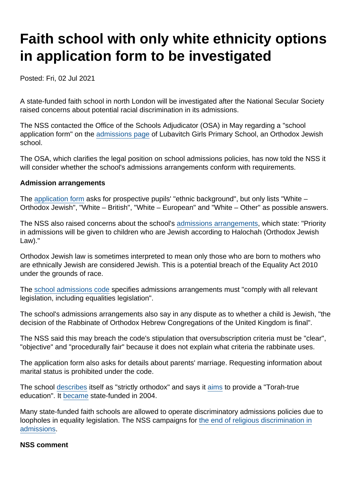# Faith school with only white ethnicity options in application form to be investigated

Posted: Fri, 02 Jul 2021

A state-funded faith school in north London will be investigated after the National Secular Society raised concerns about potential racial discrimination in its admissions.

The NSS contacted the Office of the Schools Adjudicator (OSA) in May regarding a "school application form" on the [admissions page](http://www.lubavitchgirlsprimaryschool.org/Admissions/) of Lubavitch Girls Primary School, an Orthodox Jewish school.

The OSA, which clarifies the legal position on school admissions policies, has now told the NSS it will consider whether the school's admissions arrangements conform with requirements.

Admission arrangements

The [application form](https://www.secularism.org.uk/uploads/lubavitch-girls-primary-school-application-form.pdf) asks for prospective pupils' "ethnic background", but only lists "White – Orthodox Jewish", "White – British", "White – European" and "White – Other" as possible answers.

The NSS also raised concerns about the school's [admissions arrangements](https://www.secularism.org.uk/uploads/lubavitch-girls-primary-school-admissions-arrangements.pdf), which state: "Priority in admissions will be given to children who are Jewish according to Halochah (Orthodox Jewish Law)."

Orthodox Jewish law is sometimes interpreted to mean only those who are born to mothers who are ethnically Jewish are considered Jewish. This is a potential breach of the Equality Act 2010 under the grounds of race.

The [school admissions code](https://www.gov.uk/government/publications/school-admissions-code--2) specifies admissions arrangements must "comply with all relevant legislation, including equalities legislation".

The school's admissions arrangements also say in any dispute as to whether a child is Jewish, "the decision of the Rabbinate of Orthodox Hebrew Congregations of the United Kingdom is final".

The NSS said this may breach the code's stipulation that oversubscription criteria must be "clear", "objective" and "procedurally fair" because it does not explain what criteria the rabbinate uses.

The application form also asks for details about parents' marriage. Requesting information about marital status is prohibited under the code.

The school [describes](http://www.lubavitchgirlsprimaryschool.org/Our-Schools-/) itself as "strictly orthodox" and says it [aims](http://www.lubavitchgirlsprimaryschool.org/Welcome-13012019101632/) to provide a "Torah-true education". It [became](https://get-information-schools.service.gov.uk/Establishments/Establishment/Details/134639#school-dashboard) state-funded in 2004.

Many state-funded faith schools are allowed to operate discriminatory admissions policies due to loopholes in equality legislation. The NSS campaigns for [the end of religious discrimination in](https://www.secularism.org.uk/faith-schools/end-pupil-discrimination.html) [admissions](https://www.secularism.org.uk/faith-schools/end-pupil-discrimination.html).

NSS comment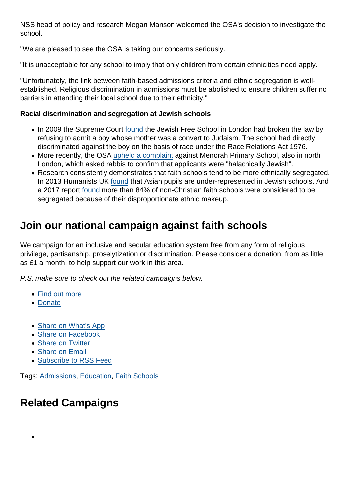NSS head of policy and research Megan Manson welcomed the OSA's decision to investigate the school.

"We are pleased to see the OSA is taking our concerns seriously.

"It is unacceptable for any school to imply that only children from certain ethnicities need apply.

"Unfortunately, the link between faith-based admissions criteria and ethnic segregation is wellestablished. Religious discrimination in admissions must be abolished to ensure children suffer no barriers in attending their local school due to their ethnicity."

Racial discrimination and segregation at Jewish schools

- In 2009 the Supreme Court [found](http://news.bbc.co.uk/1/hi/education/8415678.stm) the Jewish Free School in London had broken the law by refusing to admit a boy whose mother was a convert to Judaism. The school had directly discriminated against the boy on the basis of race under the Race Relations Act 1976.
- More recently, the OSA [upheld a complaint](https://www.thejc.com/education/education-news/school-entry-policy-in-breach-of-equality-law-1.516135) against Menorah Primary School, also in north London, which asked rabbis to confirm that applicants were "halachically Jewish".
- Research consistently demonstrates that faith schools tend to be more ethnically segregated. In 2013 Humanists UK [found](https://humanism.org.uk/2013/10/18/religious-schools-racially-segregated-state-schools-new-findings-show/) that Asian pupils are under-represented in Jewish schools. And a 2017 report [found](https://www.secularism.org.uk/news/2017/03/report-confirms-deep-ethnic-divisions-in-english-faith-schools) more than 84% of non-Christian faith schools were considered to be segregated because of their disproportionate ethnic makeup.

### Join our national campaign against faith schools

We campaign for an inclusive and secular education system free from any form of religious privilege, partisanship, proselytization or discrimination. Please consider a donation, from as little as £1 a month, to help support our work in this area.

P.S. make sure to check out the related campaigns below.

- [Find out more](https://www.secularism.org.uk/faith-schools/)
- [Donate](https://www.secularism.org.uk/donate.html)
- [Share on What's App](whatsapp://send?text=http://www.secularism.org.uk/news/2021/07/faith-school-with-only-white-ethnicity-options-in-application-form-to-be-investigated?format=pdf)
- [Share on Facebook](https://www.facebook.com/sharer/sharer.php?u=http://www.secularism.org.uk/news/2021/07/faith-school-with-only-white-ethnicity-options-in-application-form-to-be-investigated?format=pdf&t=Faith+school+with+only+white+ethnicity+options+in+application+form+to+be+investigated)
- [Share on Twitter](https://twitter.com/intent/tweet?url=http://www.secularism.org.uk/news/2021/07/faith-school-with-only-white-ethnicity-options-in-application-form-to-be-investigated?format=pdf&text=Faith+school+with+only+white+ethnicity+options+in+application+form+to+be+investigated&via=NatSecSoc)
- [Share on Email](https://www.secularism.org.uk/share.html?url=http://www.secularism.org.uk/news/2021/07/faith-school-with-only-white-ethnicity-options-in-application-form-to-be-investigated?format=pdf&title=Faith+school+with+only+white+ethnicity+options+in+application+form+to+be+investigated)
- [Subscribe to RSS Feed](/mnt/web-data/www/cp-nss/feeds/rss/news)

Tags: [Admissions,](https://www.secularism.org.uk/news/tags/Admissions) [Education,](https://www.secularism.org.uk/news/tags/Education) [Faith Schools](https://www.secularism.org.uk/news/tags/Faith+Schools)

## Related Campaigns